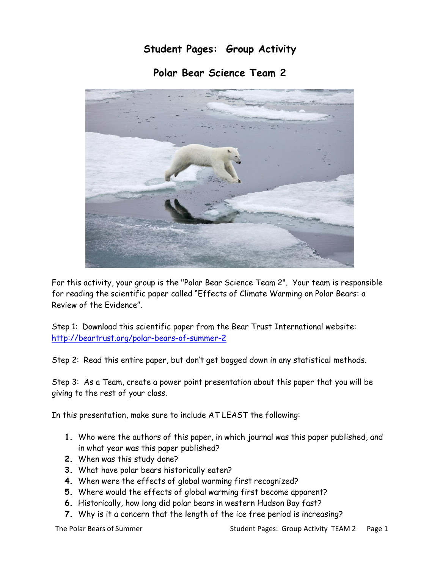## **Student Pages: Group Activity**

**Polar Bear Science Team 2**



For this activity, your group is the "Polar Bear Science Team 2". Your team is responsible for reading the scientific paper called "Effects of Climate Warming on Polar Bears: a Review of the Evidence".

Step 1: Download this scientific paper from the Bear Trust International website: <http://beartrust.org/polar-bears-of-summer-2>

Step 2: Read this entire paper, but don't get bogged down in any statistical methods.

Step 3: As a Team, create a power point presentation about this paper that you will be giving to the rest of your class.

In this presentation, make sure to include AT LEAST the following:

- **1.** Who were the authors of this paper, in which journal was this paper published, and in what year was this paper published?
- **2.** When was this study done?
- **3.** What have polar bears historically eaten?
- **4.** When were the effects of global warming first recognized?
- **5.** Where would the effects of global warming first become apparent?
- **6.** Historically, how long did polar bears in western Hudson Bay fast?
- **7.** Why is it a concern that the length of the ice free period is increasing?